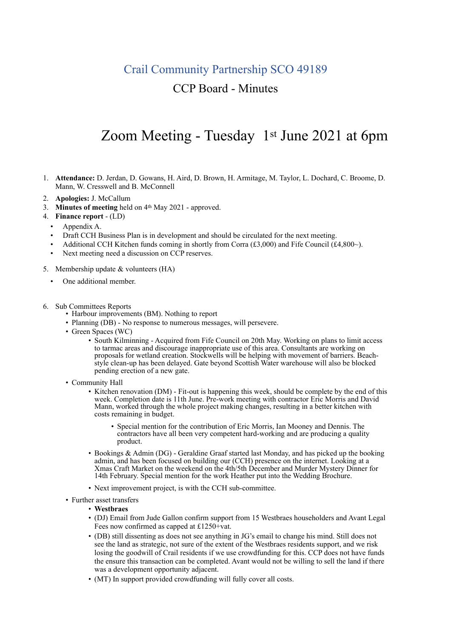## Crail Community Partnership SCO 49189

## CCP Board - Minutes

## Zoom Meeting - Tuesday 1st June 2021 at 6pm

- 1. **Attendance:** D. Jerdan, D. Gowans, H. Aird, D. Brown, H. Armitage, M. Taylor, L. Dochard, C. Broome, D. Mann, W. Cresswell and B. McConnell
- 2. **Apologies:** J. McCallum
- 3. **Minutes of meeting** held on 4<sup>th</sup> May 2021 approved.
- 4. **Finance report**  (LD)
	- Appendix A.
	- Draft CCH Business Plan is in development and should be circulated for the next meeting.
	- Additional CCH Kitchen funds coming in shortly from Corra  $(\text{\textsterling}3,000)$  and Fife Council  $(\text{\textsterling}4,800\text{-})$ .
	- Next meeting need a discussion on CCP reserves.
- 5. Membership update & volunteers (HA)
	- One additional member.
- 
- 6. Sub Committees Reports Harbour improvements (BM). Nothing to report
	- Planning (DB) No response to numerous messages, will persevere.
	- Green Spaces (WC)
		- South Kilminning Acquired from Fife Council on 20th May. Working on plans to limit access to tarmac areas and discourage inappropriate use of this area. Consultants are working on proposals for wetland creation. Stockwells will be helping with movement of barriers. Beachstyle clean-up has been delayed. Gate beyond Scottish Water warehouse will also be blocked pending erection of a new gate.
	- Community Hall
		- Kitchen renovation (DM) Fit-out is happening this week, should be complete by the end of this week. Completion date is 11th June. Pre-work meeting with contractor Eric Morris and David Mann, worked through the whole project making changes, resulting in a better kitchen with costs remaining in budget.
			- Special mention for the contribution of Eric Morris, Ian Mooney and Dennis. The contractors have all been very competent hard-working and are producing a quality product.
		- Bookings & Admin (DG) Geraldine Graaf started last Monday, and has picked up the booking admin, and has been focused on building our (CCH) presence on the internet. Looking at a Xmas Craft Market on the weekend on the 4th/5th December and Murder Mystery Dinner for 14th February. Special mention for the work Heather put into the Wedding Brochure.
		- Next improvement project, is with the CCH sub-committee.
	- Further asset transfers
		- **Westbraes**
		- (DJ) Email from Jude Gallon confirm support from 15 Westbraes householders and Avant Legal Fees now confirmed as capped at £1250+vat.
		- (DB) still dissenting as does not see anything in JG's email to change his mind. Still does not see the land as strategic, not sure of the extent of the Westbraes residents support, and we risk losing the goodwill of Crail residents if we use crowdfunding for this. CCP does not have funds the ensure this transaction can be completed. Avant would not be willing to sell the land if there was a development opportunity adjacent.
		- (MT) In support provided crowdfunding will fully cover all costs.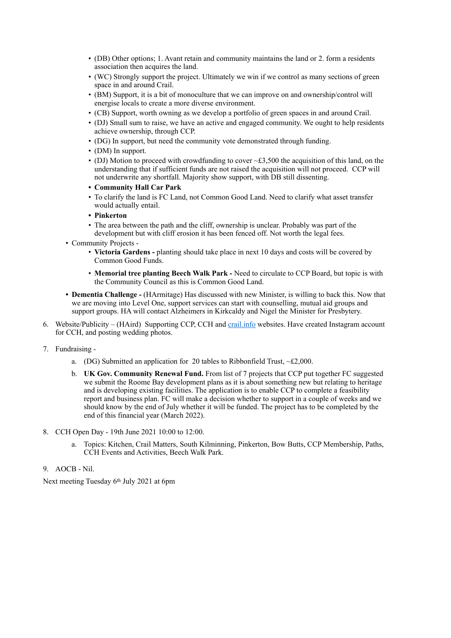- (DB) Other options; 1. Avant retain and community maintains the land or 2. form a residents association then acquires the land.
- (WC) Strongly support the project. Ultimately we win if we control as many sections of green space in and around Crail.
- (BM) Support, it is a bit of monoculture that we can improve on and ownership/control will energise locals to create a more diverse environment.
- (CB) Support, worth owning as we develop a portfolio of green spaces in and around Crail.
- (DJ) Small sum to raise, we have an active and engaged community. We ought to help residents achieve ownership, through CCP.
- (DG) In support, but need the community vote demonstrated through funding.
- (DM) In support.
- (DJ) Motion to proceed with crowdfunding to cover  $\sim$  £3,500 the acquisition of this land, on the understanding that if sufficient funds are not raised the acquisition will not proceed. CCP will not underwrite any shortfall. Majority show support, with DB still dissenting.
- **• Community Hall Car Park**
- To clarify the land is FC Land, not Common Good Land. Need to clarify what asset transfer would actually entail.
- **• Pinkerton**
- The area between the path and the cliff, ownership is unclear. Probably was part of the development but with cliff erosion it has been fenced off. Not worth the legal fees.
- Community Projects
	- **Victoria Gardens** planting should take place in next 10 days and costs will be covered by Common Good Funds.
	- **Memorial tree planting Beech Walk Park** Need to circulate to CCP Board, but topic is with the Community Council as this is Common Good Land.
- **• Dementia Challenge** (HArmitage) Has discussed with new Minister, is willing to back this. Now that we are moving into Level One, support services can start with counselling, mutual aid groups and support groups. HA will contact Alzheimers in Kirkcaldy and Nigel the Minister for Presbytery.
- 6. Website/Publicity (HAird) Supporting CCP, CCH and [crail.info](http://crail.info) websites. Have created Instagram account for CCH, and posting wedding photos.
- 7. Fundraising
	- a. (DG) Submitted an application for 20 tables to Ribbonfield Trust,  $\sim$ £2,000.
	- b. **UK Gov. Community Renewal Fund.** From list of 7 projects that CCP put together FC suggested we submit the Roome Bay development plans as it is about something new but relating to heritage and is developing existing facilities. The application is to enable CCP to complete a feasibility report and business plan. FC will make a decision whether to support in a couple of weeks and we should know by the end of July whether it will be funded. The project has to be completed by the end of this financial year (March 2022).
- 8. CCH Open Day 19th June 2021 10:00 to 12:00.
	- a. Topics: Kitchen, Crail Matters, South Kilminning, Pinkerton, Bow Butts, CCP Membership, Paths, CCH Events and Activities, Beech Walk Park.
- 9. AOCB Nil.

Next meeting Tuesday 6th July 2021 at 6pm